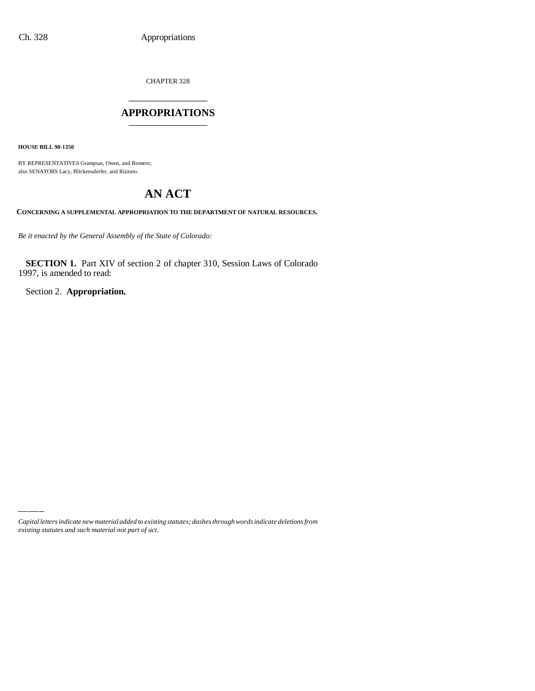CHAPTER 328

# \_\_\_\_\_\_\_\_\_\_\_\_\_\_\_ **APPROPRIATIONS** \_\_\_\_\_\_\_\_\_\_\_\_\_\_\_

**HOUSE BILL 98-1350**

BY REPRESENTATIVES Grampsas, Owen, and Romero; also SENATORS Lacy, Blickensderfer, and Rizzuto.

# **AN ACT**

**CONCERNING A SUPPLEMENTAL APPROPRIATION TO THE DEPARTMENT OF NATURAL RESOURCES.**

*Be it enacted by the General Assembly of the State of Colorado:*

**SECTION 1.** Part XIV of section 2 of chapter 310, Session Laws of Colorado 1997, is amended to read:

Section 2. **Appropriation.**

*Capital letters indicate new material added to existing statutes; dashes through words indicate deletions from existing statutes and such material not part of act.*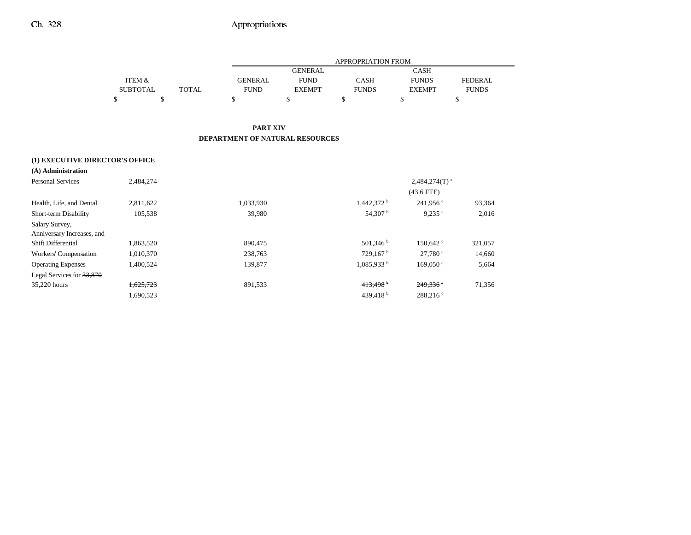|                                 |                   |              | APPROPRIATION FROM                     |                |                          |                        |                |
|---------------------------------|-------------------|--------------|----------------------------------------|----------------|--------------------------|------------------------|----------------|
|                                 |                   |              |                                        | <b>GENERAL</b> |                          | <b>CASH</b>            |                |
|                                 | <b>ITEM &amp;</b> |              | <b>GENERAL</b>                         | <b>FUND</b>    | <b>CASH</b>              | <b>FUNDS</b>           | <b>FEDERAL</b> |
|                                 | <b>SUBTOTAL</b>   | <b>TOTAL</b> | <b>FUND</b>                            | <b>EXEMPT</b>  | <b>FUNDS</b>             | <b>EXEMPT</b>          | <b>FUNDS</b>   |
|                                 | \$<br>\$          |              | \$                                     | \$             | \$                       | \$                     | \$             |
|                                 |                   |              | <b>PART XIV</b>                        |                |                          |                        |                |
|                                 |                   |              | <b>DEPARTMENT OF NATURAL RESOURCES</b> |                |                          |                        |                |
| (1) EXECUTIVE DIRECTOR'S OFFICE |                   |              |                                        |                |                          |                        |                |
| (A) Administration              |                   |              |                                        |                |                          |                        |                |
| <b>Personal Services</b>        | 2,484,274         |              |                                        |                |                          | $2,484,274(T)^{a}$     |                |
|                                 |                   |              |                                        |                |                          | $(43.6$ FTE)           |                |
| Health, Life, and Dental        | 2,811,622         |              | 1,033,930                              |                | $1,442,372$ <sup>b</sup> | $241.956$ c            | 93,364         |
| Short-term Disability           | 105,538           |              | 39,980                                 |                | 54,307 <sup>b</sup>      | $9,235$ $\degree$      | 2,016          |
| Salary Survey,                  |                   |              |                                        |                |                          |                        |                |
| Anniversary Increases, and      |                   |              |                                        |                |                          |                        |                |
| Shift Differential              | 1,863,520         |              | 890,475                                |                | 501,346                  | 150,642                | 321,057        |
| Workers' Compensation           | 1,010,370         |              | 238,763                                |                | 729,167                  | 27,780 °               | 14,660         |
| <b>Operating Expenses</b>       | 1,400,524         |              | 139,877                                |                | $1,085,933$ <sup>b</sup> | $169,050$ c            | 5,664          |
| Legal Services for 33,870       |                   |              |                                        |                |                          |                        |                |
| 35,220 hours                    | 1,625,723         |              | 891,533                                |                | 413,498 <sup>b</sup>     | $249.336$ <sup>e</sup> | 71,356         |
|                                 | 1,690,523         |              |                                        |                | 439,418 $^{\rm b}$       | 288,216°               |                |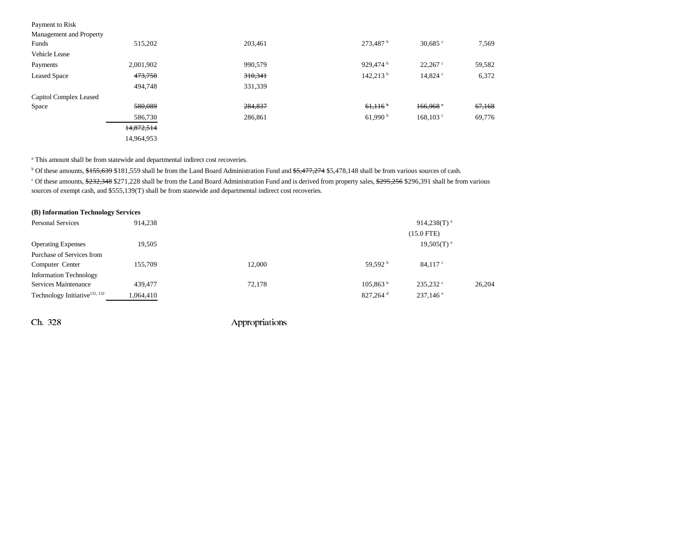# Payment to Risk<br>Management and P

| Management and Property |            |         |                        |                  |        |
|-------------------------|------------|---------|------------------------|------------------|--------|
| Funds                   | 515,202    | 203,461 | $273,487$ <sup>b</sup> | 30,685 $\degree$ | 7,569  |
| Vehicle Lease           |            |         |                        |                  |        |
| Payments                | 2,001,902  | 990,579 | 929,474 <sup>b</sup>   | $22,267$ °       | 59,582 |
| <b>Leased Space</b>     | 473,750    | 310,341 | $142,213$ <sup>b</sup> | 14,824 $\degree$ | 6,372  |
|                         | 494,748    | 331,339 |                        |                  |        |
| Capitol Complex Leased  |            |         |                        |                  |        |
| Space                   | 580,089    | 284,837 | 61,116                 | 166,968          | 67,168 |
|                         | 586,730    | 286,861 | 61,990 $^{\rm b}$      | $168, 103$ c     | 69,776 |
|                         | 14,872,514 |         |                        |                  |        |
|                         | 14,964,953 |         |                        |                  |        |

<sup>a</sup> This amount shall be from statewide and departmental indirect cost recoveries.

<sup>b</sup> Of these amounts, \$155,639 \$181,559 shall be from the Land Board Administration Fund and \$5,477,274 \$5,478,148 shall be from various sources of cash. <sup>c</sup> Of these amounts, \$232,348 \$271,228 shall be from the Land Board Administration Fund and is derived from property sales, \$295,256 \$296,391 shall be from various sources of exempt cash, and \$555,139(T) shall be from statewide and departmental indirect cost recoveries.

| (B) Information Technology Services       |           |        |                        |                         |        |
|-------------------------------------------|-----------|--------|------------------------|-------------------------|--------|
| <b>Personal Services</b>                  | 914.238   |        |                        | 914,238(T) <sup>a</sup> |        |
|                                           |           |        |                        | $(15.0$ FTE)            |        |
| <b>Operating Expenses</b>                 | 19,505    |        |                        | $19,505(T)^{a}$         |        |
| Purchase of Services from                 |           |        |                        |                         |        |
| Computer Center                           | 155.709   | 12.000 | 59.592 $^{\rm b}$      | $84.117$ c              |        |
| <b>Information Technology</b>             |           |        |                        |                         |        |
| Services Maintenance                      | 439,477   | 72,178 | 105.863 <sup>b</sup>   | $235.232$ °             | 26,204 |
| Technology Initiative <sup>131, 132</sup> | 1,064,410 |        | $827.264$ <sup>d</sup> | $237,146$ <sup>e</sup>  |        |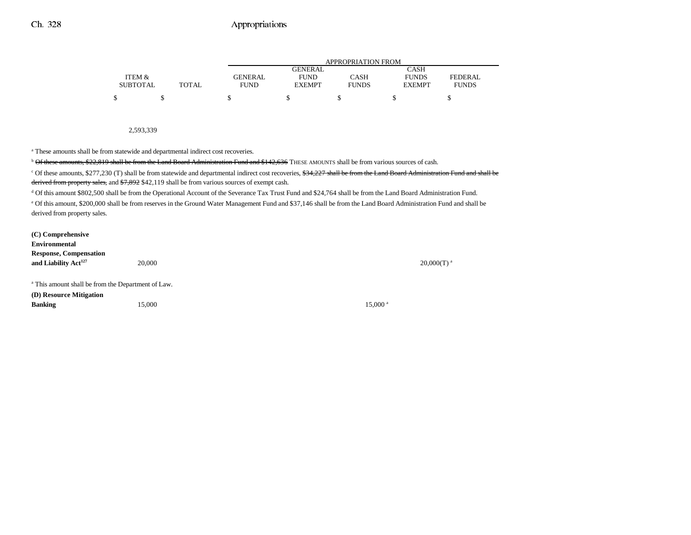|                 |       |             | APPROPRIATION FROM |              |               |              |  |  |  |
|-----------------|-------|-------------|--------------------|--------------|---------------|--------------|--|--|--|
|                 |       |             | <b>GENERAL</b>     |              | CASH          |              |  |  |  |
| ITEM &          |       | GENERAL     | <b>FUND</b>        | CASH         | <b>FUNDS</b>  | FEDERAL      |  |  |  |
| <b>SUBTOTAL</b> | TOTAL | <b>FUND</b> | <b>EXEMPT</b>      | <b>FUNDS</b> | <b>EXEMPT</b> | <b>FUNDS</b> |  |  |  |
| \$              |       |             |                    |              |               |              |  |  |  |

2,593,339

a These amounts shall be from statewide and departmental indirect cost recoveries.

 $b$  Of these amounts, \$22,819 shall be from the Land Board Administration Fund and \$142,636 THESE AMOUNTS shall be from various sources of cash.

<sup>c</sup> Of these amounts, \$277,230 (T) shall be from statewide and departmental indirect cost recoveries, <del>\$34,227 shall be from the Land Board Administration Fund and shall be</del> derived from property sales, and  $$7,892$  \$42,119 shall be from various sources of exempt cash.

d Of this amount \$802,500 shall be from the Operational Account of the Severance Tax Trust Fund and \$24,764 shall be from the Land Board Administration Fund.

e Of this amount, \$200,000 shall be from reserves in the Ground Water Management Fund and \$37,146 shall be from the Land Board Administration Fund and shall be derived from property sales.

**(C) Comprehensive EnvironmentalResponse, Compensation and Liability Act<sup>127</sup> 20,000 20,000 20,000 20,000 20,000 20,000 20,000 20,000 20,000 20,000 20,000 20,000 20,000 20,000 20,000 20,000 20,000 20,000 20,000 20,000 20,000 20,000 20,000 20,000 20,000 20,000 20,000 20,000 2** a This amount shall be from the Department of Law. **(D) Resource Mitigation**

**Banking** 15,000 15,000 **15,000** 15,000 **15,000** 15,000 **15,000 15,000 15,000 15,000 15,000 15,000 15,000 15,000 15,000 15,000 15,000 15,000 15,000 15,000 15,000 15,000 15,000 15,000 15,**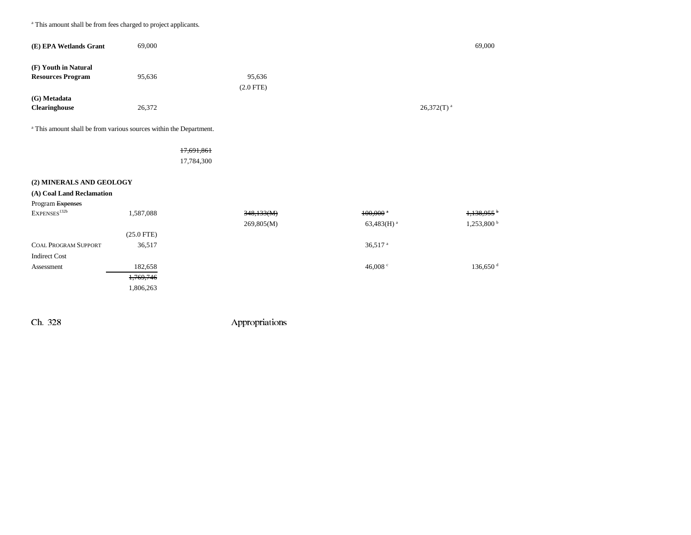a This amount shall be from fees charged to project applicants.

| (E) EPA Wetlands Grant                           | 69,000 |                       | 69,000                   |
|--------------------------------------------------|--------|-----------------------|--------------------------|
| (F) Youth in Natural<br><b>Resources Program</b> | 95,636 | 95,636<br>$(2.0$ FTE) |                          |
| (G) Metadata<br><b>Clearinghouse</b>             | 26,372 |                       | $26,372(T)$ <sup>a</sup> |

a This amount shall be from various sources within the Department.

### 17,691,861

17,784,300

### **(2) MINERALS AND GEOLOGY**

| (A) Coal Land Reclamation   |              |            |                          |                          |
|-----------------------------|--------------|------------|--------------------------|--------------------------|
| Program Expenses            |              |            |                          |                          |
| EXPENSES <sup>132b</sup>    | 1,587,088    | 348,133(M) | $100,000$ $^{\circ}$     | 1,138,955                |
|                             |              | 269,805(M) | $63,483(H)$ <sup>a</sup> | $1,253,800^{\mathrm{b}}$ |
|                             | $(25.0$ FTE) |            |                          |                          |
| <b>COAL PROGRAM SUPPORT</b> | 36,517       |            | $36,517$ <sup>a</sup>    |                          |
| <b>Indirect Cost</b>        |              |            |                          |                          |
| Assessment                  | 182,658      |            | 46,008 $\degree$         | $136,650$ <sup>d</sup>   |
|                             | 1,769,746    |            |                          |                          |
|                             | 1,806,263    |            |                          |                          |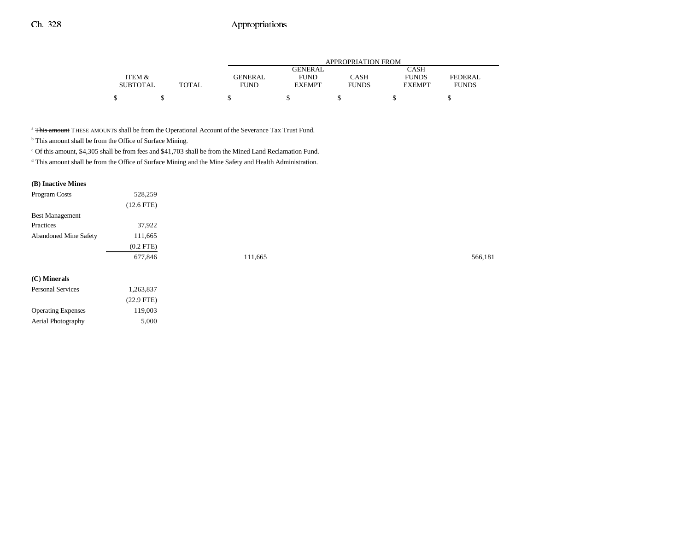|                 |              |             | APPROPRIATION FROM |              |               |              |  |  |  |  |
|-----------------|--------------|-------------|--------------------|--------------|---------------|--------------|--|--|--|--|
|                 |              |             | <b>GENERAL</b>     |              | CASH          |              |  |  |  |  |
| ITEM &          |              | GENERAL     | <b>FUND</b>        | CASH         | <b>FUNDS</b>  | FEDERAL      |  |  |  |  |
| <b>SUBTOTAL</b> | <b>TOTAL</b> | <b>FUND</b> | <b>EXEMPT</b>      | <b>FUNDS</b> | <b>EXEMPT</b> | <b>FUNDS</b> |  |  |  |  |
|                 |              |             |                    |              |               |              |  |  |  |  |

<sup>a</sup> This amount THESE AMOUNTS shall be from the Operational Account of the Severance Tax Trust Fund.

 $^{\rm b}$  This amount shall be from the Office of Surface Mining.

Operating Expenses 119,003 Aerial Photography 5,000

 $^{\circ}$  Of this amount, \$4,305 shall be from fees and \$41,703 shall be from the Mined Land Reclamation Fund.

d This amount shall be from the Office of Surface Mining and the Mine Safety and Health Administration.

#### **(B) Inactive Mines**

| Program Costs          | 528,259         |         |         |
|------------------------|-----------------|---------|---------|
|                        | $(12.6$ FTE $)$ |         |         |
| <b>Best Management</b> |                 |         |         |
| Practices              | 37,922          |         |         |
| Abandoned Mine Safety  | 111,665         |         |         |
|                        | $(0.2$ FTE $)$  |         |         |
|                        | 677,846         | 111,665 | 566,181 |
| (C) Minerals           |                 |         |         |
| Personal Services      | 1,263,837       |         |         |
|                        | $(22.9$ FTE)    |         |         |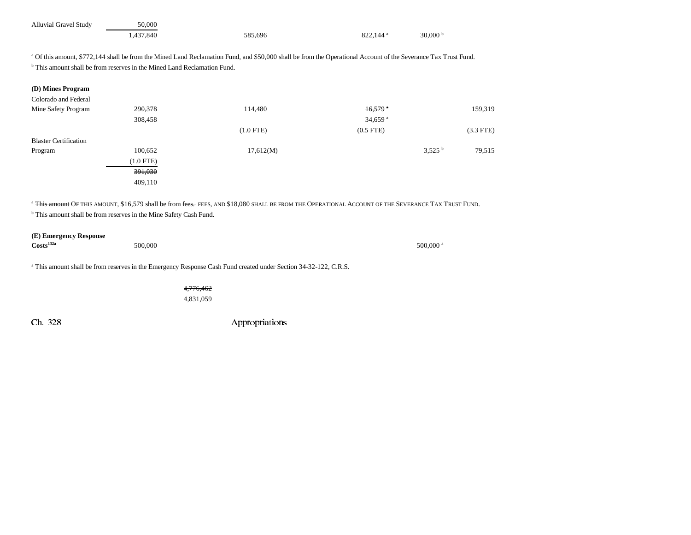| <b>Alluvial Gravel Study</b> | 50.000    |         |                        |                   |
|------------------------------|-----------|---------|------------------------|-------------------|
|                              | 1.437.840 | 585.696 | $822.144$ <sup>a</sup> | 30,000 $^{\rm b}$ |

<sup>a</sup> Of this amount, \$772,144 shall be from the Mined Land Reclamation Fund, and \$50,000 shall be from the Operational Account of the Severance Tax Trust Fund.

<sup>b</sup> This amount shall be from reserves in the Mined Land Reclamation Fund.

|  |  | (D) Mines Program |
|--|--|-------------------|
|--|--|-------------------|

| Colorado and Federal         |                    |             |                       |                    |             |
|------------------------------|--------------------|-------------|-----------------------|--------------------|-------------|
| Mine Safety Program          | 290,378            | 114,480     | $16,579$ <sup>*</sup> |                    | 159,319     |
|                              | 308,458            |             | 34,659 $a$            |                    |             |
|                              |                    | $(1.0$ FTE) | $(0.5$ FTE $)$        |                    | $(3.3$ FTE) |
| <b>Blaster Certification</b> |                    |             |                       |                    |             |
| Program                      | 100,652            | 17,612(M)   |                       | 3.525 <sup>b</sup> | 79,515      |
|                              | $(1.0$ FTE)        |             |                       |                    |             |
|                              | <del>391,030</del> |             |                       |                    |             |
|                              | 409,110            |             |                       |                    |             |

<sup>a</sup> <del>This amount</del> Of this amount, \$16,579 shall be from <del>fees.</del> fees, and \$18,080 shall be from the Operational Account of the Severance Tax Trust Fund.

<sup>b</sup> This amount shall be from reserves in the Mine Safety Cash Fund.

# **(E) Emergency Response**

**Costs**<sup>132a</sup> 500,000 500,000 500,000 500,000 500,000 500,000 500,000 500,000 500,000 500,000 500,000 500,000 500,000 500,000 500,000 500,000 500,000 500,000 500,000 500,000 500,000 500,000 500,000 500,000 500,000 500,000

a This amount shall be from reserves in the Emergency Response Cash Fund created under Section 34-32-122, C.R.S.

4,776,462 4,831,059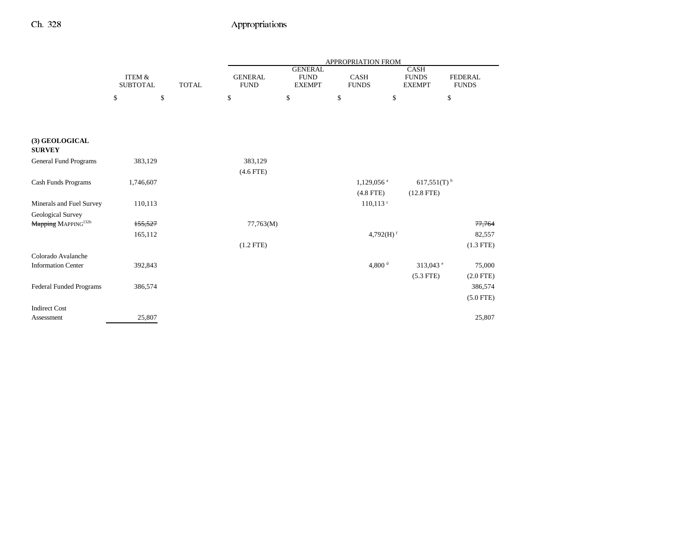|                                 |                           |              | APPROPRIATION FROM            |                                                |                             |                          |                                              |                                |  |
|---------------------------------|---------------------------|--------------|-------------------------------|------------------------------------------------|-----------------------------|--------------------------|----------------------------------------------|--------------------------------|--|
|                                 | ITEM &<br><b>SUBTOTAL</b> | <b>TOTAL</b> | <b>GENERAL</b><br><b>FUND</b> | <b>GENERAL</b><br><b>FUND</b><br><b>EXEMPT</b> | <b>CASH</b><br><b>FUNDS</b> |                          | <b>CASH</b><br><b>FUNDS</b><br><b>EXEMPT</b> | <b>FEDERAL</b><br><b>FUNDS</b> |  |
|                                 | \$                        | \$           | \$                            | \$                                             | \$                          | \$                       |                                              | \$                             |  |
|                                 |                           |              |                               |                                                |                             |                          |                                              |                                |  |
| (3) GEOLOGICAL<br><b>SURVEY</b> |                           |              |                               |                                                |                             |                          |                                              |                                |  |
| General Fund Programs           | 383,129                   |              | 383,129                       |                                                |                             |                          |                                              |                                |  |
|                                 |                           |              | $(4.6$ FTE)                   |                                                |                             |                          |                                              |                                |  |
| Cash Funds Programs             | 1,746,607                 |              |                               |                                                |                             | $1,129,056$ <sup>a</sup> | $617,551(T)$ <sup>b</sup>                    |                                |  |
|                                 |                           |              |                               |                                                |                             | $(4.8$ FTE)              | $(12.8$ FTE)                                 |                                |  |
| Minerals and Fuel Survey        | 110,113                   |              |                               |                                                |                             | $110, 113$ $\degree$     |                                              |                                |  |
| Geological Survey               |                           |              |                               |                                                |                             |                          |                                              |                                |  |
| Mapping MAPPING <sup>132b</sup> | 155,527                   |              | 77,763(M)                     |                                                |                             |                          |                                              | 77,764                         |  |
|                                 | 165,112                   |              |                               |                                                |                             | 4,792 $(H)$ <sup>f</sup> |                                              | 82,557                         |  |
|                                 |                           |              | $(1.2$ FTE)                   |                                                |                             |                          |                                              | $(1.3$ FTE)                    |  |
| Colorado Avalanche              |                           |              |                               |                                                |                             |                          |                                              |                                |  |
| <b>Information Center</b>       | 392,843                   |              |                               |                                                |                             | 4,800 $^{\rm d}$         | 313,043 $^{\circ}$                           | 75,000                         |  |
|                                 |                           |              |                               |                                                |                             |                          | $(5.3$ FTE)                                  | $(2.0$ FTE)                    |  |
| Federal Funded Programs         | 386,574                   |              |                               |                                                |                             |                          |                                              | 386,574                        |  |
|                                 |                           |              |                               |                                                |                             |                          |                                              | $(5.0$ FTE)                    |  |
| <b>Indirect Cost</b>            |                           |              |                               |                                                |                             |                          |                                              |                                |  |
| Assessment                      | 25,807                    |              |                               |                                                |                             |                          |                                              | 25,807                         |  |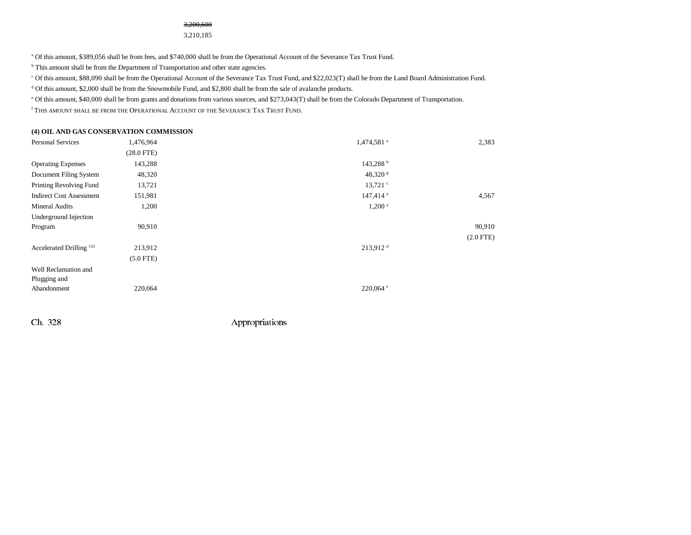#### 3,200,600

3,210,185

<sup>a</sup> Of this amount, \$389,056 shall be from fees, and \$740,000 shall be from the Operational Account of the Severance Tax Trust Fund.

 $^{\rm b}$  This amount shall be from the Department of Transportation and other state agencies.

c Of this amount, \$88,090 shall be from the Operational Account of the Severance Tax Trust Fund, and \$22,023(T) shall be from the Land Board Administration Fund.

<sup>d</sup> Of this amount, \$2,000 shall be from the Snowmobile Fund, and \$2,800 shall be from the sale of avalanche products.

e Of this amount, \$40,000 shall be from grants and donations from various sources, and \$273,043(T) shall be from the Colorado Department of Transportation.

f This amount shall be from the Operational Account of the Severance Tax Trust Fund.

#### **(4) OIL AND GAS CONSERVATION COMMISSION**

| Personal Services                   | 1,476,964       | 1,474,581 <sup>a</sup> | 2,383          |
|-------------------------------------|-----------------|------------------------|----------------|
|                                     | $(28.0$ FTE $)$ |                        |                |
| <b>Operating Expenses</b>           | 143,288         | 143,288h               |                |
| Document Filing System              | 48,320          | $48,320$ s             |                |
| Printing Revolving Fund             | 13,721          | $13,721$ $\degree$     |                |
| <b>Indirect Cost Assessment</b>     | 151,981         | 147,414 <sup>a</sup>   | 4,567          |
| <b>Mineral Audits</b>               | 1,200           | $1,200$ <sup>a</sup>   |                |
| Underground Injection               |                 |                        |                |
| Program                             | 90,910          |                        | 90,910         |
|                                     |                 |                        | $(2.0$ FTE $)$ |
| Accelerated Drilling <sup>133</sup> | 213,912         | $213,912$ <sup>d</sup> |                |
|                                     | $(5.0$ FTE)     |                        |                |
| Well Reclamation and                |                 |                        |                |
| Plugging and                        |                 |                        |                |
| Abandonment                         | 220,064         | $220,064$ e            |                |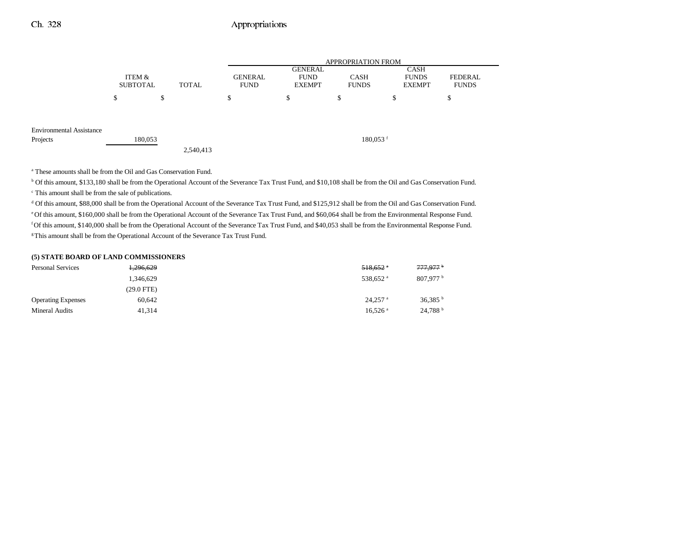|                                 |                           |              |                               | <b>APPROPRIATION FROM</b>                      |                        |                                              |                         |  |  |
|---------------------------------|---------------------------|--------------|-------------------------------|------------------------------------------------|------------------------|----------------------------------------------|-------------------------|--|--|
|                                 | ITEM &<br><b>SUBTOTAL</b> | <b>TOTAL</b> | <b>GENERAL</b><br><b>FUND</b> | <b>GENERAL</b><br><b>FUND</b><br><b>EXEMPT</b> | CASH<br><b>FUNDS</b>   | <b>CASH</b><br><b>FUNDS</b><br><b>EXEMPT</b> | FEDERAL<br><b>FUNDS</b> |  |  |
|                                 | <sup>\$</sup>             | \$           | \$                            | \$                                             | \$                     | \$                                           | ¢<br>Ф                  |  |  |
|                                 |                           |              |                               |                                                |                        |                                              |                         |  |  |
| <b>Environmental Assistance</b> |                           |              |                               |                                                |                        |                                              |                         |  |  |
| Projects                        | 180,053                   |              |                               |                                                | $180,053$ <sup>f</sup> |                                              |                         |  |  |
|                                 |                           | 2,540,413    |                               |                                                |                        |                                              |                         |  |  |

a These amounts shall be from the Oil and Gas Conservation Fund.

<sup>b</sup> Of this amount, \$133,180 shall be from the Operational Account of the Severance Tax Trust Fund, and \$10,108 shall be from the Oil and Gas Conservation Fund.

c This amount shall be from the sale of publications.

d Of this amount, \$88,000 shall be from the Operational Account of the Severance Tax Trust Fund, and \$125,912 shall be from the Oil and Gas Conservation Fund. e Of this amount, \$160,000 shall be from the Operational Account of the Severance Tax Trust Fund, and \$60,064 shall be from the Environmental Response Fund. f Of this amount, \$140,000 shall be from the Operational Account of the Severance Tax Trust Fund, and \$40,053 shall be from the Environmental Response Fund. <sup>8</sup>This amount shall be from the Operational Account of the Severance Tax Trust Fund.

#### **(5) STATE BOARD OF LAND COMMISSIONERS**

| <b>Personal Services</b>  | 1,296,629  | $518.652$ $\degree$   | 777,977 <sup>b</sup>  |
|---------------------------|------------|-----------------------|-----------------------|
|                           | 1,346,629  | 538.652 <sup>a</sup>  | 807.977 <sup>b</sup>  |
|                           | (29.0 FTE) |                       |                       |
| <b>Operating Expenses</b> | 60.642     | $24,257$ <sup>a</sup> | $36,385$ <sup>b</sup> |
| Mineral Audits            | 41.314     | $16.526$ <sup>a</sup> | 24.788 <sup>b</sup>   |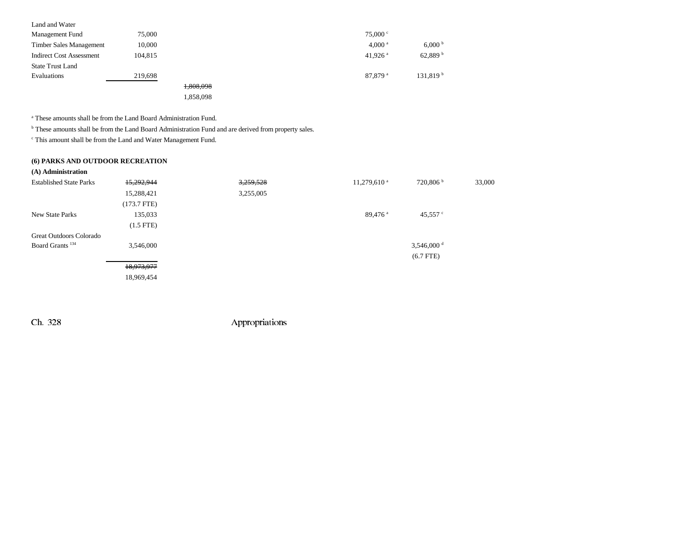| Land and Water                  |         |           |                     |                      |
|---------------------------------|---------|-----------|---------------------|----------------------|
| Management Fund                 | 75,000  |           | 75.000 °            |                      |
| Timber Sales Management         | 10,000  |           | 4,000 <sup>a</sup>  | 6,000 <sup>b</sup>   |
| <b>Indirect Cost Assessment</b> | 104,815 |           | 41,926 $a$          | 62,889 <sup>b</sup>  |
| <b>State Trust Land</b>         |         |           |                     |                      |
| Evaluations                     | 219,698 |           | 87,879 <sup>a</sup> | 131,819 <sup>b</sup> |
|                                 |         | 1,808,098 |                     |                      |
|                                 |         | 1,858,098 |                     |                      |
|                                 |         |           |                     |                      |

a These amounts shall be from the Land Board Administration Fund.

b These amounts shall be from the Land Board Administration Fund and are derived from property sales.

 $\,^{\mathrm{c}}$  This amount shall be from the Land and Water Management Fund.

#### **(6) PARKS AND OUTDOOR RECREATION**

| (A) Administration             |                |           |                     |                      |        |
|--------------------------------|----------------|-----------|---------------------|----------------------|--------|
| <b>Established State Parks</b> | 15,292,944     | 3,259,528 | $11,279,610^{a}$    | 720,806 h            | 33,000 |
|                                | 15,288,421     | 3,255,005 |                     |                      |        |
|                                | $(173.7$ FTE)  |           |                     |                      |        |
| New State Parks                | 135,033        |           | 89,476 <sup>a</sup> | 45,557 $\degree$     |        |
|                                | $(1.5$ FTE $)$ |           |                     |                      |        |
| Great Outdoors Colorado        |                |           |                     |                      |        |
| Board Grants <sup>134</sup>    | 3,546,000      |           |                     | 3,546,000 $^{\rm d}$ |        |
|                                |                |           |                     | $(6.7$ FTE)          |        |
|                                | 18,973,977     |           |                     |                      |        |
|                                | 18,969,454     |           |                     |                      |        |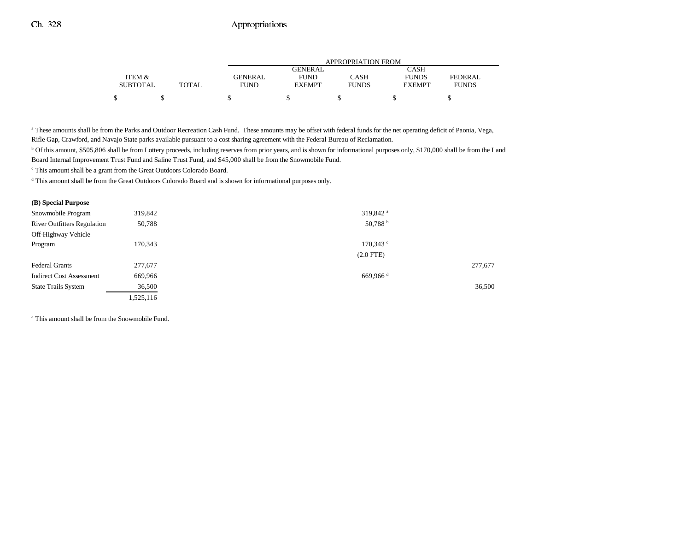|                 |              |         | <b>APPROPRIATION FROM</b> |              |               |              |  |  |
|-----------------|--------------|---------|---------------------------|--------------|---------------|--------------|--|--|
|                 |              |         | GENERAL                   |              | CASH          |              |  |  |
| ITEM &          |              | GENERAL | <b>FUND</b>               | CASH         | <b>FUNDS</b>  | FEDERAL      |  |  |
| <b>SUBTOTAL</b> | <b>TOTAL</b> | FUND    | <b>EXEMPT</b>             | <b>FUNDS</b> | <b>EXEMPT</b> | <b>FUNDS</b> |  |  |
| Φ               |              |         |                           |              |               |              |  |  |

<sup>a</sup> These amounts shall be from the Parks and Outdoor Recreation Cash Fund. These amounts may be offset with federal funds for the net operating deficit of Paonia, Vega, Rifle Gap, Crawford, and Navajo State parks available pursuant to a cost sharing agreement with the Federal Bureau of Reclamation.

b Of this amount, \$505,806 shall be from Lottery proceeds, including reserves from prior years, and is shown for informational purposes only, \$170,000 shall be from the Land Board Internal Improvement Trust Fund and Saline Trust Fund, and \$45,000 shall be from the Snowmobile Fund.

c This amount shall be a grant from the Great Outdoors Colorado Board.

d This amount shall be from the Great Outdoors Colorado Board and is shown for informational purposes only.

#### **(B) Special Purpose**

| 319,842                                      | 319,842 <sup>a</sup>   |         |
|----------------------------------------------|------------------------|---------|
| <b>River Outfitters Regulation</b><br>50,788 | 50,788 <sup>b</sup>    |         |
|                                              |                        |         |
| 170,343                                      | $170.343$ $\degree$    |         |
|                                              | $(2.0$ FTE)            |         |
| 277,677                                      |                        | 277,677 |
| 669,966                                      | $669,966$ <sup>d</sup> |         |
| 36,500                                       |                        | 36,500  |
| 1,525,116                                    |                        |         |
|                                              |                        |         |

<sup>a</sup> This amount shall be from the Snowmobile Fund.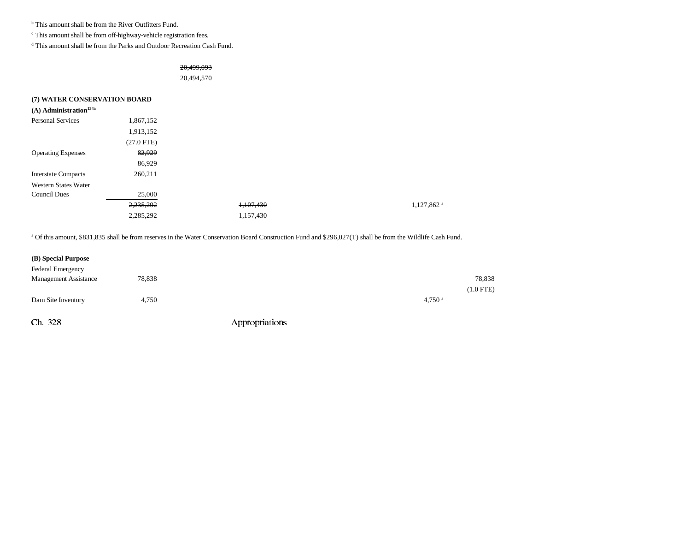<sup>b</sup> This amount shall be from the River Outfitters Fund.

c This amount shall be from off-highway-vehicle registration fees.

d This amount shall be from the Parks and Outdoor Recreation Cash Fund.

20,499,093

20,494,570

| (7) WATER CONSERVATION BOARD         |              |           |                        |
|--------------------------------------|--------------|-----------|------------------------|
| $(A)$ Administration <sup>134a</sup> |              |           |                        |
| <b>Personal Services</b>             | 1,867,152    |           |                        |
|                                      | 1,913,152    |           |                        |
|                                      | $(27.0$ FTE) |           |                        |
| <b>Operating Expenses</b>            | 82,929       |           |                        |
|                                      | 86,929       |           |                        |
| <b>Interstate Compacts</b>           | 260,211      |           |                        |
| Western States Water                 |              |           |                        |
| <b>Council Dues</b>                  | 25,000       |           |                        |
|                                      | 2,235,292    | 1,107,430 | 1,127,862 <sup>a</sup> |
|                                      | 2,285,292    | 1,157,430 |                        |

a Of this amount, \$831,835 shall be from reserves in the Water Conservation Board Construction Fund and \$296,027(T) shall be from the Wildlife Cash Fund.

| (B) Special Purpose          |        |                |                      |
|------------------------------|--------|----------------|----------------------|
| Federal Emergency            |        |                |                      |
| <b>Management Assistance</b> | 78,838 |                | 78,838               |
|                              |        |                | $(1.0$ FTE)          |
| Dam Site Inventory           | 4,750  |                | $4,750$ <sup>a</sup> |
| Ch. 328                      |        | Appropriations |                      |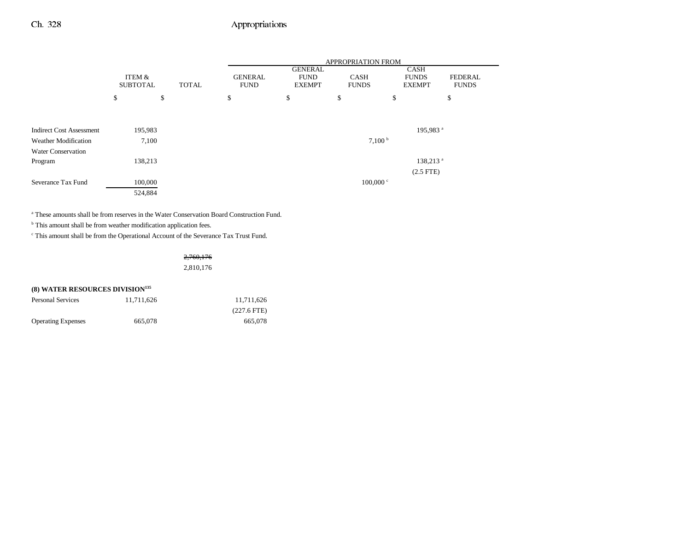|                                 |                           |       | APPROPRIATION FROM            |                                                |                             |    |                                              |                         |
|---------------------------------|---------------------------|-------|-------------------------------|------------------------------------------------|-----------------------------|----|----------------------------------------------|-------------------------|
|                                 | ITEM &<br><b>SUBTOTAL</b> | TOTAL | <b>GENERAL</b><br><b>FUND</b> | <b>GENERAL</b><br><b>FUND</b><br><b>EXEMPT</b> | <b>CASH</b><br><b>FUNDS</b> |    | <b>CASH</b><br><b>FUNDS</b><br><b>EXEMPT</b> | FEDERAL<br><b>FUNDS</b> |
|                                 | \$                        | \$    | \$                            | \$                                             | \$                          | \$ |                                              | \$                      |
|                                 |                           |       |                               |                                                |                             |    |                                              |                         |
| <b>Indirect Cost Assessment</b> | 195,983                   |       |                               |                                                |                             |    | 195,983 <sup>a</sup>                         |                         |
| <b>Weather Modification</b>     | 7,100                     |       |                               |                                                | 7,100 <sup>b</sup>          |    |                                              |                         |
| <b>Water Conservation</b>       |                           |       |                               |                                                |                             |    |                                              |                         |
| Program                         | 138,213                   |       |                               |                                                |                             |    | 138,213 <sup>a</sup>                         |                         |
|                                 |                           |       |                               |                                                |                             |    | $(2.5$ FTE)                                  |                         |
| Severance Tax Fund              | 100,000                   |       |                               |                                                | $100,000$ c                 |    |                                              |                         |
|                                 | 524,884                   |       |                               |                                                |                             |    |                                              |                         |

a These amounts shall be from reserves in the Water Conservation Board Construction Fund.

<sup>b</sup> This amount shall be from weather modification application fees.

 $^\mathrm{c}$  This amount shall be from the Operational Account of the Severance Tax Trust Fund.

2,760,176 2,810,176

## **(8) WATER RESOURCES DIVISION135**

| <b>Personal Services</b>  | 11.711.626 | 11.711.626    |
|---------------------------|------------|---------------|
|                           |            | $(227.6$ FTE) |
| <b>Operating Expenses</b> | 665,078    | 665,078       |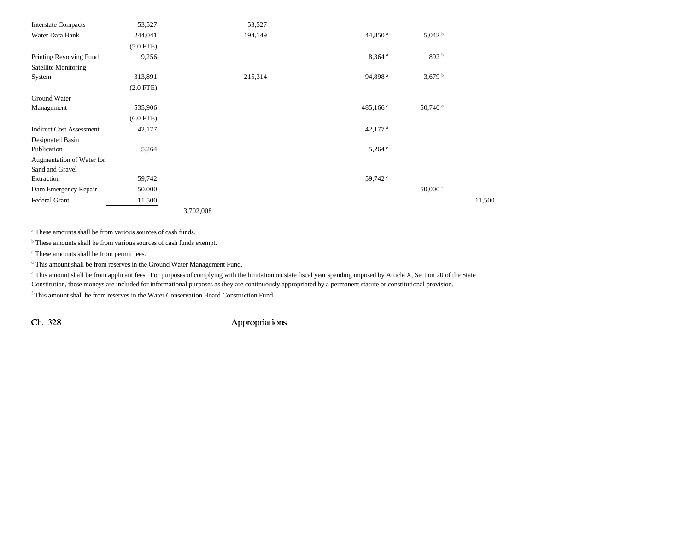| <b>Interstate Compacts</b>      | 53,527      |            | 53,527  |                      |                       |        |
|---------------------------------|-------------|------------|---------|----------------------|-----------------------|--------|
| Water Data Bank                 | 244,041     |            | 194,149 | 44,850 <sup>a</sup>  | 5,042 h               |        |
|                                 | $(5.0$ FTE) |            |         |                      |                       |        |
| Printing Revolving Fund         | 9,256       |            |         | $8,364$ <sup>a</sup> | 892 <sup>b</sup>      |        |
| Satellite Monitoring            |             |            |         |                      |                       |        |
| System                          | 313,891     |            | 215,314 | 94,898 <sup>a</sup>  | 3,679h                |        |
|                                 | $(2.0$ FTE) |            |         |                      |                       |        |
| Ground Water                    |             |            |         |                      |                       |        |
| Management                      | 535,906     |            |         | 485,166 $\degree$    | $50,740$ <sup>d</sup> |        |
|                                 | $(6.0$ FTE) |            |         |                      |                       |        |
| <b>Indirect Cost Assessment</b> | 42,177      |            |         | 42,177 $a$           |                       |        |
| Designated Basin                |             |            |         |                      |                       |        |
| Publication                     | 5,264       |            |         | $5,264$ <sup>e</sup> |                       |        |
| Augmentation of Water for       |             |            |         |                      |                       |        |
| Sand and Gravel                 |             |            |         |                      |                       |        |
| Extraction                      | 59,742      |            |         | 59,742 <sup>c</sup>  |                       |        |
| Dam Emergency Repair            | 50,000      |            |         |                      | 50,000 $f$            |        |
| Federal Grant                   | 11,500      |            |         |                      |                       | 11,500 |
|                                 |             | 13,702,008 |         |                      |                       |        |

a These amounts shall be from various sources of cash funds.

<sup>b</sup> These amounts shall be from various sources of cash funds exempt.

c These amounts shall be from permit fees.

d This amount shall be from reserves in the Ground Water Management Fund.

e This amount shall be from applicant fees. For purposes of complying with the limitation on state fiscal year spending imposed by Article X, Section 20 of the State

Constitution, these moneys are included for informational purposes as they are continuously appropriated by a permanent statute or constitutional provision.

f This amount shall be from reserves in the Water Conservation Board Construction Fund.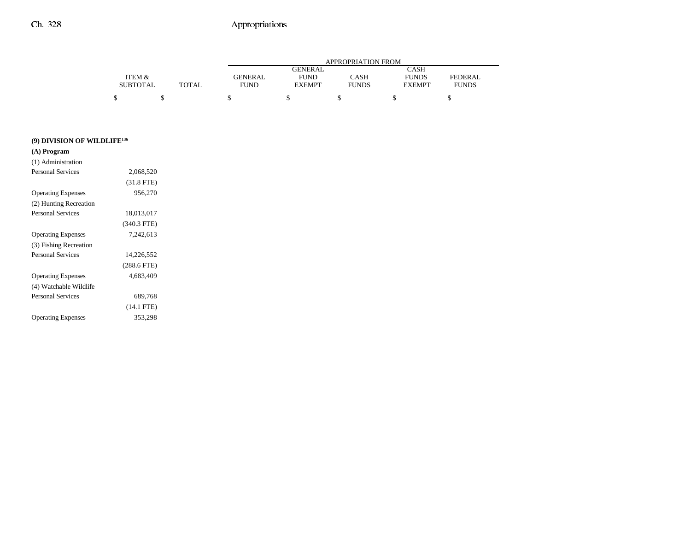|                 |              | APPROPRIATION FROM |                |              |               |                |  |  |  |
|-----------------|--------------|--------------------|----------------|--------------|---------------|----------------|--|--|--|
|                 |              |                    | <b>GENERAL</b> |              | <b>CASH</b>   |                |  |  |  |
| ITEM &          |              | <b>GENERAL</b>     | <b>FUND</b>    | CASH         | <b>FUNDS</b>  | <b>FEDERAL</b> |  |  |  |
| <b>SUBTOTAL</b> | <b>TOTAL</b> | <b>FUND</b>        | <b>EXEMPT</b>  | <b>FUNDS</b> | <b>EXEMPT</b> | <b>FUNDS</b>   |  |  |  |
| \$              |              |                    |                |              |               |                |  |  |  |

| (9) DIVISION OF WILDLIFE <sup>136</sup> |  |  |  |  |  |  |  |  |
|-----------------------------------------|--|--|--|--|--|--|--|--|
|-----------------------------------------|--|--|--|--|--|--|--|--|

| (A) Program               |               |  |
|---------------------------|---------------|--|
| (1) Administration        |               |  |
| <b>Personal Services</b>  | 2,068,520     |  |
|                           | $(31.8$ FTE)  |  |
| <b>Operating Expenses</b> | 956,270       |  |
| (2) Hunting Recreation    |               |  |
| <b>Personal Services</b>  | 18,013,017    |  |
|                           | $(340.3$ FTE) |  |
| <b>Operating Expenses</b> | 7,242,613     |  |
| (3) Fishing Recreation    |               |  |
| <b>Personal Services</b>  | 14.226.552    |  |
|                           | $(288.6$ FTE) |  |
| <b>Operating Expenses</b> | 4.683.409     |  |
| (4) Watchable Wildlife    |               |  |
| <b>Personal Services</b>  | 689,768       |  |
|                           | $(14.1$ FTE)  |  |
| <b>Operating Expenses</b> | 353,298       |  |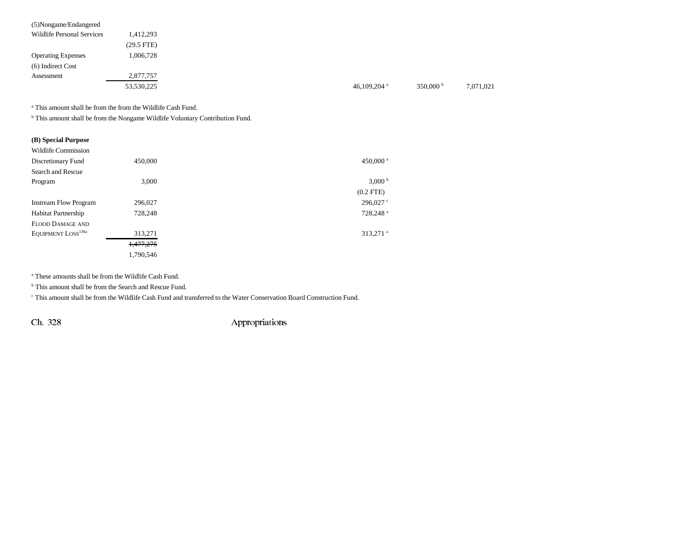| (5) Nongame/Endangered            |              |                |                    |
|-----------------------------------|--------------|----------------|--------------------|
| <b>Wildlife Personal Services</b> | 1,412,293    |                |                    |
|                                   | $(29.5$ FTE) |                |                    |
| <b>Operating Expenses</b>         | 1,006,728    |                |                    |
| (6) Indirect Cost                 |              |                |                    |
| Assessment                        | 2,877,757    |                |                    |
|                                   | 53,530,225   | 46,109,204 $a$ | 350,000 $^{\rm b}$ |

a This amount shall be from the from the Wildlife Cash Fund.

b This amount shall be from the Nongame Wildlife Voluntary Contribution Fund.

| (B) Special Purpose            |           |                      |
|--------------------------------|-----------|----------------------|
| Wildlife Commission            |           |                      |
| Discretionary Fund             | 450,000   | 450,000 <sup>a</sup> |
| Search and Rescue              |           |                      |
| Program                        | 3,000     | 3,000 <sup>b</sup>   |
|                                |           | $(0.2$ FTE $)$       |
| <b>Instream Flow Program</b>   | 296,027   | 296,027 °            |
| <b>Habitat Partnership</b>     | 728,248   | 728,248 <sup>a</sup> |
| <b>FLOOD DAMAGE AND</b>        |           |                      |
| EQUIPMENT LOSS <sup>136a</sup> | 313,271   | 313,271 <sup>a</sup> |
|                                | 1,477,275 |                      |
|                                | 1.790.546 |                      |

a These amounts shall be from the Wildlife Cash Fund.

<sup>b</sup> This amount shall be from the Search and Rescue Fund.

c This amount shall be from the Wildlife Cash Fund and transferred to the Water Conservation Board Construction Fund.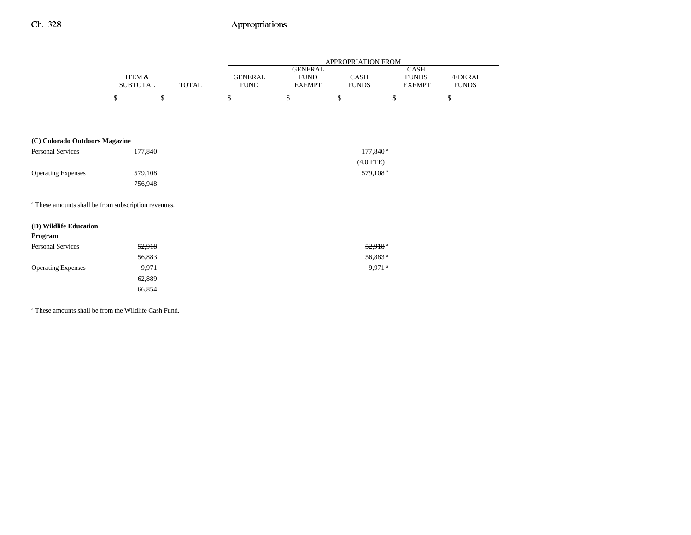|                                                                 |                           |              | APPROPRIATION FROM            |                                                 |                      |                                       |                                |  |  |
|-----------------------------------------------------------------|---------------------------|--------------|-------------------------------|-------------------------------------------------|----------------------|---------------------------------------|--------------------------------|--|--|
|                                                                 | ITEM &<br><b>SUBTOTAL</b> | <b>TOTAL</b> | <b>GENERAL</b><br><b>FUND</b> | <b>GENERAL</b><br>${\rm FUND}$<br><b>EXEMPT</b> | CASH<br><b>FUNDS</b> | CASH<br><b>FUNDS</b><br><b>EXEMPT</b> | <b>FEDERAL</b><br><b>FUNDS</b> |  |  |
|                                                                 | \$                        | \$           | \$                            | $\mathbb{S}$                                    | \$                   | \$                                    | \$                             |  |  |
|                                                                 |                           |              |                               |                                                 |                      |                                       |                                |  |  |
|                                                                 |                           |              |                               |                                                 |                      |                                       |                                |  |  |
| (C) Colorado Outdoors Magazine                                  |                           |              |                               |                                                 |                      |                                       |                                |  |  |
| <b>Personal Services</b>                                        |                           | 177,840      |                               |                                                 | 177,840 <sup>a</sup> |                                       |                                |  |  |
|                                                                 |                           |              |                               |                                                 | $(4.0$ FTE)          |                                       |                                |  |  |
| <b>Operating Expenses</b>                                       |                           | 579,108      |                               |                                                 | 579,108 <sup>a</sup> |                                       |                                |  |  |
|                                                                 |                           | 756,948      |                               |                                                 |                      |                                       |                                |  |  |
| <sup>a</sup> These amounts shall be from subscription revenues. |                           |              |                               |                                                 |                      |                                       |                                |  |  |
| (D) Wildlife Education                                          |                           |              |                               |                                                 |                      |                                       |                                |  |  |
| Program                                                         |                           |              |                               |                                                 |                      |                                       |                                |  |  |
| <b>Personal Services</b>                                        |                           | 52,918       |                               |                                                 | 52,918               |                                       |                                |  |  |
|                                                                 |                           | 56,883       |                               |                                                 | 56,883 <sup>a</sup>  |                                       |                                |  |  |
| <b>Operating Expenses</b>                                       |                           | 9,971        |                               |                                                 | 9,971 <sup>a</sup>   |                                       |                                |  |  |
|                                                                 |                           | 62,889       |                               |                                                 |                      |                                       |                                |  |  |
|                                                                 |                           | 66,854       |                               |                                                 |                      |                                       |                                |  |  |

a These amounts shall be from the Wildlife Cash Fund.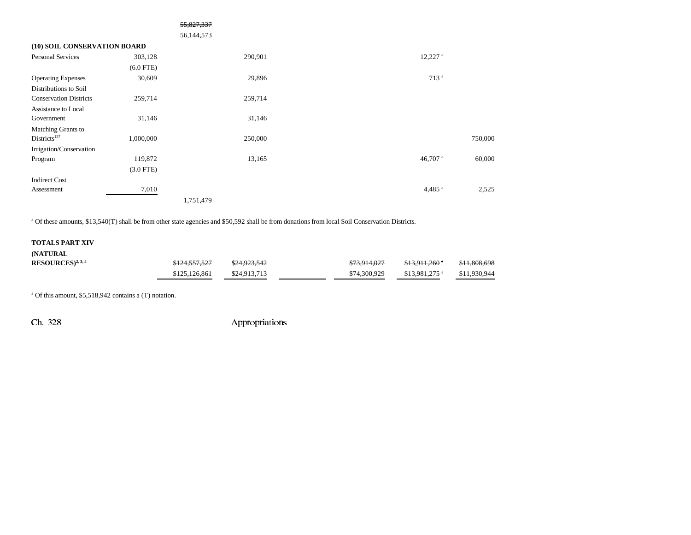|                                                        |             | <del>55,827,337</del> |                       |         |
|--------------------------------------------------------|-------------|-----------------------|-----------------------|---------|
|                                                        |             | 56,144,573            |                       |         |
| (10) SOIL CONSERVATION BOARD                           |             |                       |                       |         |
| Personal Services                                      | 303,128     | 290,901               | $12,227$ <sup>a</sup> |         |
|                                                        | $(6.0$ FTE) |                       |                       |         |
| <b>Operating Expenses</b>                              | 30,609      | 29,896                | 713 <sup>a</sup>      |         |
| Distributions to Soil<br><b>Conservation Districts</b> | 259,714     | 259,714               |                       |         |
| Assistance to Local                                    |             |                       |                       |         |
| Government                                             | 31,146      | 31,146                |                       |         |
| Matching Grants to                                     |             |                       |                       |         |
| Districts <sup>137</sup>                               | 1,000,000   | 250,000               |                       | 750,000 |
| Irrigation/Conservation                                |             |                       |                       |         |
| Program                                                | 119,872     | 13,165                | 46,707 <sup>a</sup>   | 60,000  |
|                                                        | $(3.0$ FTE) |                       |                       |         |
| <b>Indirect Cost</b>                                   |             |                       |                       |         |
| Assessment                                             | 7,010       |                       | $4,485$ <sup>a</sup>  | 2,525   |
|                                                        |             | 1,751,479             |                       |         |

<sup>a</sup> Of these amounts, \$13,540(T) shall be from other state agencies and \$50,592 shall be from donations from local Soil Conservation Districts.

#### **TOTALS PART XIV**

| (NATURAL)            |               |              |              |                            |              |
|----------------------|---------------|--------------|--------------|----------------------------|--------------|
| $RESOLRCES)^{2,3,4}$ | \$124,557,527 | \$24.923.542 | \$73,914,027 | <del>\$13.911,260</del> °  | \$11,808,698 |
|                      | \$125,126,861 | \$24,913,713 | \$74,300,929 | $$13.981.275$ <sup>a</sup> | \$11,930,944 |

a Of this amount, \$5,518,942 contains a (T) notation.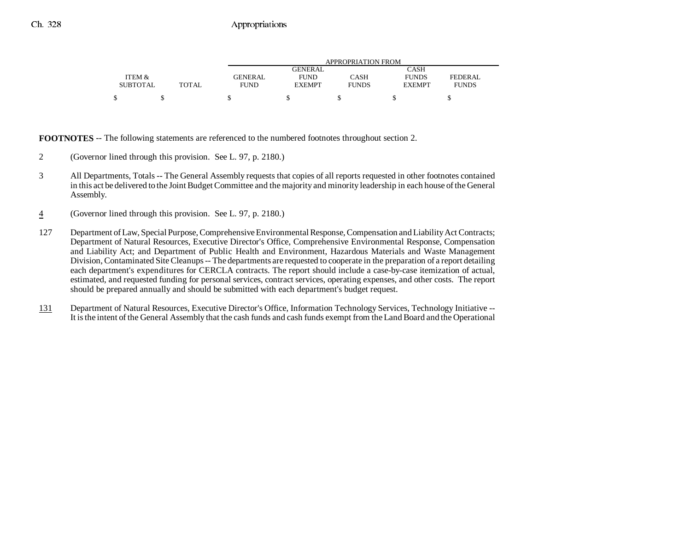|                 |              | APPROPRIATION FROM |               |              |               |                |  |  |
|-----------------|--------------|--------------------|---------------|--------------|---------------|----------------|--|--|
|                 |              |                    | GENERAL       |              | CASH          |                |  |  |
| ITEM &          |              | <b>GENERAL</b>     | <b>FUND</b>   | CASH         | <b>FUNDS</b>  | <b>FEDERAL</b> |  |  |
| <b>SUBTOTAL</b> | <b>TOTAL</b> | FUND               | <b>EXEMPT</b> | <b>FUNDS</b> | <b>EXEMPT</b> | <b>FUNDS</b>   |  |  |
| \$              |              |                    |               |              |               |                |  |  |

**FOOTNOTES** -- The following statements are referenced to the numbered footnotes throughout section 2.

- 2 (Governor lined through this provision. See L. 97, p. 2180.)
- 3 All Departments, Totals -- The General Assembly requests that copies of all reports requested in other footnotes contained in this act be delivered to the Joint Budget Committee and the majority and minority leadership in each house of the General Assembly.
- 4(Governor lined through this provision. See L. 97, p. 2180.)
- 127 Department of Law, Special Purpose, Comprehensive Environmental Response, Compensation and Liability Act Contracts; Department of Natural Resources, Executive Director's Office, Comprehensive Environmental Response, Compensation and Liability Act; and Department of Public Health and Environment, Hazardous Materials and Waste Management Division, Contaminated Site Cleanups -- The departments are requested to cooperate in the preparation of a report detailing each department's expenditures for CERCLA contracts. The report should include a case-by-case itemization of actual, estimated, and requested funding for personal services, contract services, operating expenses, and other costs. The report should be prepared annually and should be submitted with each department's budget request.
- 131 Department of Natural Resources, Executive Director's Office, Information Technology Services, Technology Initiative -- It is the intent of the General Assembly that the cash funds and cash funds exempt from the Land Board and the Operational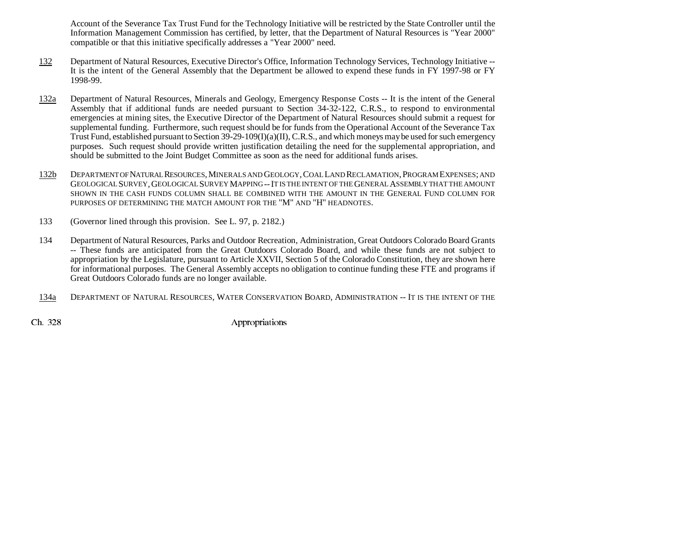Account of the Severance Tax Trust Fund for the Technology Initiative will be restricted by the State Controller until the Information Management Commission has certified, by letter, that the Department of Natural Resources is "Year 2000" compatible or that this initiative specifically addresses a "Year 2000" need.

- 132 Department of Natural Resources, Executive Director's Office, Information Technology Services, Technology Initiative -- It is the intent of the General Assembly that the Department be allowed to expend these funds in FY 1997-98 or FY 1998-99.
- 132a Department of Natural Resources, Minerals and Geology, Emergency Response Costs -- It is the intent of the General Assembly that if additional funds are needed pursuant to Section 34-32-122, C.R.S., to respond to environmental emergencies at mining sites, the Executive Director of the Department of Natural Resources should submit a request for supplemental funding. Furthermore, such request should be for funds from the Operational Account of the Severance Tax Trust Fund, established pursuant to Section 39-29-109(I)(a)(II), C.R.S., and which moneys may be used for such emergency purposes. Such request should provide written justification detailing the need for the supplemental appropriation, and should be submitted to the Joint Budget Committee as soon as the need for additional funds arises.
- 132b DEPARTMENT OF NATURAL RESOURCES, MINERALS AND GEOLOGY, COAL LAND RECLAMATION, PROGRAM EXPENSES; AND GEOLOGICAL SURVEY,GEOLOGICAL SURVEY MAPPING --IT IS THE INTENT OF THE GENERAL ASSEMBLY THAT THE AMOUNTSHOWN IN THE CASH FUNDS COLUMN SHALL BE COMBINED WITH THE AMOUNT IN THE GENERAL FUND COLUMN FORPURPOSES OF DETERMINING THE MATCH AMOUNT FOR THE "M" AND "H" HEADNOTES.
- 133 (Governor lined through this provision. See L. 97, p. 2182.)
- 134 Department of Natural Resources, Parks and Outdoor Recreation, Administration, Great Outdoors Colorado Board Grants -- These funds are anticipated from the Great Outdoors Colorado Board, and while these funds are not subject to appropriation by the Legislature, pursuant to Article XXVII, Section 5 of the Colorado Constitution, they are shown here for informational purposes. The General Assembly accepts no obligation to continue funding these FTE and programs if Great Outdoors Colorado funds are no longer available.
- 134a DEPARTMENT OF NATURAL RESOURCES, WATER CONSERVATION BOARD, ADMINISTRATION -- IT IS THE INTENT OF THE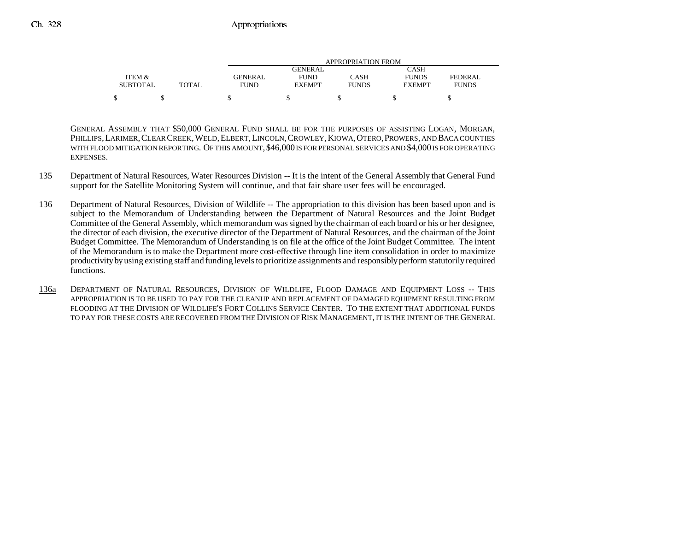|                 |       | APPROPRIATION FROM |               |              |               |              |  |  |
|-----------------|-------|--------------------|---------------|--------------|---------------|--------------|--|--|
|                 |       |                    | GENERAL       |              | CASH          |              |  |  |
| ITEM &          |       | GENERAL            | <b>FUND</b>   | CASH         | <b>FUNDS</b>  | FEDERAL      |  |  |
| <b>SUBTOTAL</b> | TOTAL | <b>FUND</b>        | <b>EXEMPT</b> | <b>FUNDS</b> | <b>EXEMPT</b> | <b>FUNDS</b> |  |  |
| \$              |       |                    |               |              |               |              |  |  |

GENERAL ASSEMBLY THAT \$50,000 GENERAL FUND SHALL BE FOR THE PURPOSES OF ASSISTING LOGAN, MORGAN, PHILLIPS, LARIMER, CLEAR CREEK, WELD, ELBERT, LINCOLN, CROWLEY, KIOWA, OTERO, PROWERS, AND BACA COUNTIES WITH FLOOD MITIGATION REPORTING. OF THIS AMOUNT, \$46,000 IS FOR PERSONAL SERVICES AND \$4,000 IS FOR OPERATING EXPENSES.

- 135 Department of Natural Resources, Water Resources Division -- It is the intent of the General Assembly that General Fund support for the Satellite Monitoring System will continue, and that fair share user fees will be encouraged.
- 136 Department of Natural Resources, Division of Wildlife -- The appropriation to this division has been based upon and is subject to the Memorandum of Understanding between the Department of Natural Resources and the Joint Budget Committee of the General Assembly, which memorandum was signed by the chairman of each board or his or her designee, the director of each division, the executive director of the Department of Natural Resources, and the chairman of the Joint Budget Committee. The Memorandum of Understanding is on file at the office of the Joint Budget Committee. The intent of the Memorandum is to make the Department more cost-effective through line item consolidation in order to maximize productivity by using existing staff and funding levels to prioritize assignments and responsibly perform statutorily required functions.
- 136a DEPARTMENT OF NATURAL RESOURCES, DIVISION OF WILDLIFE, FLOOD DAMAGE AND EQUIPMENT LOSS -- THIS APPROPRIATION IS TO BE USED TO PAY FOR THE CLEANUP AND REPLACEMENT OF DAMAGED EQUIPMENT RESULTING FROM FLOODING AT THE DIVISION OF WILDLIFE'S FORT COLLINS SERVICE CENTER. TO THE EXTENT THAT ADDITIONAL FUNDS TO PAY FOR THESE COSTS ARE RECOVERED FROM THE DIVISION OF RISK MANAGEMENT, IT IS THE INTENT OF THE GENERAL